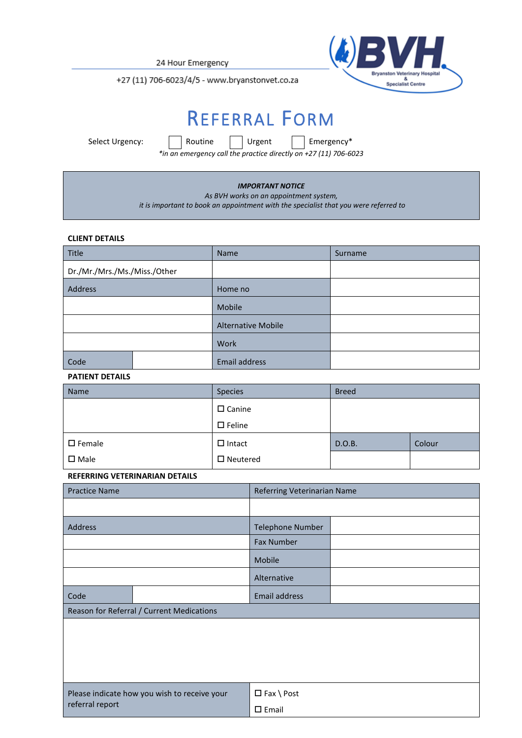24 Hour Emergency



+27 (11) 706-6023/4/5 - www.bryanstonvet.co.za

# REFERRAL FORM

Select Urgency: **Routine** Urgent Flemergency\*

*\*in an emergency call the practice directly on +27 (11) 706-6023*

### *IMPORTANT NOTICE*

*As BVH works on an appointment system,*

*it is important to book an appointment with the specialist that you were referred to*

### **CLIENT DETAILS**

| Title                        |  | Name                      | Surname |  |
|------------------------------|--|---------------------------|---------|--|
| Dr./Mr./Mrs./Ms./Miss./Other |  |                           |         |  |
| Address                      |  | Home no                   |         |  |
|                              |  | Mobile                    |         |  |
|                              |  | <b>Alternative Mobile</b> |         |  |
|                              |  | Work                      |         |  |
| Code                         |  | Email address             |         |  |

## **PATIENT DETAILS**

| Name             | Species                              | <b>Breed</b> |        |
|------------------|--------------------------------------|--------------|--------|
|                  | $\square$ Canine<br>$\square$ Feline |              |        |
| $\square$ Female | $\Box$ Intact                        | D.O.B.       | Colour |
| $\square$ Male   | $\square$ Neutered                   |              |        |

## **REFERRING VETERINARIAN DETAILS**

| <b>Practice Name</b>                                            |  | Referring Veterinarian Name |  |  |  |  |
|-----------------------------------------------------------------|--|-----------------------------|--|--|--|--|
|                                                                 |  |                             |  |  |  |  |
| Address                                                         |  | <b>Telephone Number</b>     |  |  |  |  |
|                                                                 |  | <b>Fax Number</b>           |  |  |  |  |
|                                                                 |  | Mobile                      |  |  |  |  |
|                                                                 |  | Alternative                 |  |  |  |  |
| Code                                                            |  | <b>Email address</b>        |  |  |  |  |
| Reason for Referral / Current Medications                       |  |                             |  |  |  |  |
|                                                                 |  |                             |  |  |  |  |
| Please indicate how you wish to receive your<br>referral report |  | $\Box$ Fax \ Post           |  |  |  |  |
|                                                                 |  | $\square$ Email             |  |  |  |  |